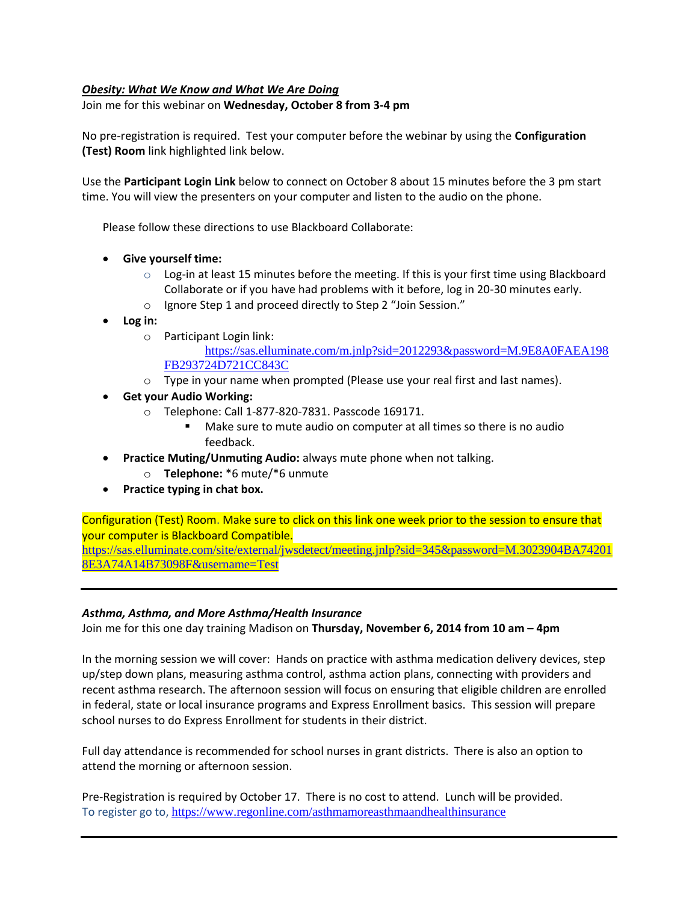# *Obesity: What We Know and What We Are Doing*

## Join me for this webinar on **Wednesday, October 8 from 3-4 pm**

No pre-registration is required. Test your computer before the webinar by using the **Configuration (Test) Room** link highlighted link below.

Use the **Participant Login Link** below to connect on October 8 about 15 minutes before the 3 pm start time. You will view the presenters on your computer and listen to the audio on the phone.

Please follow these directions to use Blackboard Collaborate:

- **Give yourself time:**
	- $\circ$  Log-in at least 15 minutes before the meeting. If this is your first time using Blackboard Collaborate or if you have had problems with it before, log in 20-30 minutes early.
	- o Ignore Step 1 and proceed directly to Step 2 "Join Session."
- **Log in:** 
	- o Participant Login link: [https://sas.elluminate.com/m.jnlp?sid=2012293&password=M.9E8A0FAEA198](https://sas.elluminate.com/m.jnlp?sid=2012293&password=M.9E8A0FAEA198FB293724D721CC843C) [FB293724D721CC843C](https://sas.elluminate.com/m.jnlp?sid=2012293&password=M.9E8A0FAEA198FB293724D721CC843C)
	- o Type in your name when prompted (Please use your real first and last names).
- **Get your Audio Working:** 
	- o Telephone: Call 1-877-820-7831. Passcode 169171.
		- Make sure to mute audio on computer at all times so there is no audio feedback.
- **Practice Muting/Unmuting Audio:** always mute phone when not talking.
	- o **Telephone:** \*6 mute/\*6 unmute
- **Practice typing in chat box.**

Configuration (Test) Room. Make sure to click on this link one week prior to the session to ensure that your computer is Blackboard Compatible. [https://sas.elluminate.com/site/external/jwsdetect/meeting.jnlp?sid=345&password=M.3023904BA74201](https://sas.elluminate.com/site/external/jwsdetect/meeting.jnlp?sid=345&password=M.3023904BA742018E3A74A14B73098F&username=Test) [8E3A74A14B73098F&username=Test](https://sas.elluminate.com/site/external/jwsdetect/meeting.jnlp?sid=345&password=M.3023904BA742018E3A74A14B73098F&username=Test)

## *Asthma, Asthma, and More Asthma/Health Insurance*

Join me for this one day training Madison on **Thursday, November 6, 2014 from 10 am – 4pm**

In the morning session we will cover: Hands on practice with asthma medication delivery devices, step up/step down plans, measuring asthma control, asthma action plans, connecting with providers and recent asthma research. The afternoon session will focus on ensuring that eligible children are enrolled in federal, state or local insurance programs and Express Enrollment basics. This session will prepare school nurses to do Express Enrollment for students in their district.

Full day attendance is recommended for school nurses in grant districts. There is also an option to attend the morning or afternoon session.

Pre-Registration is required by October 17. There is no cost to attend. Lunch will be provided. To register go to, <https://www.regonline.com/asthmamoreasthmaandhealthinsurance>